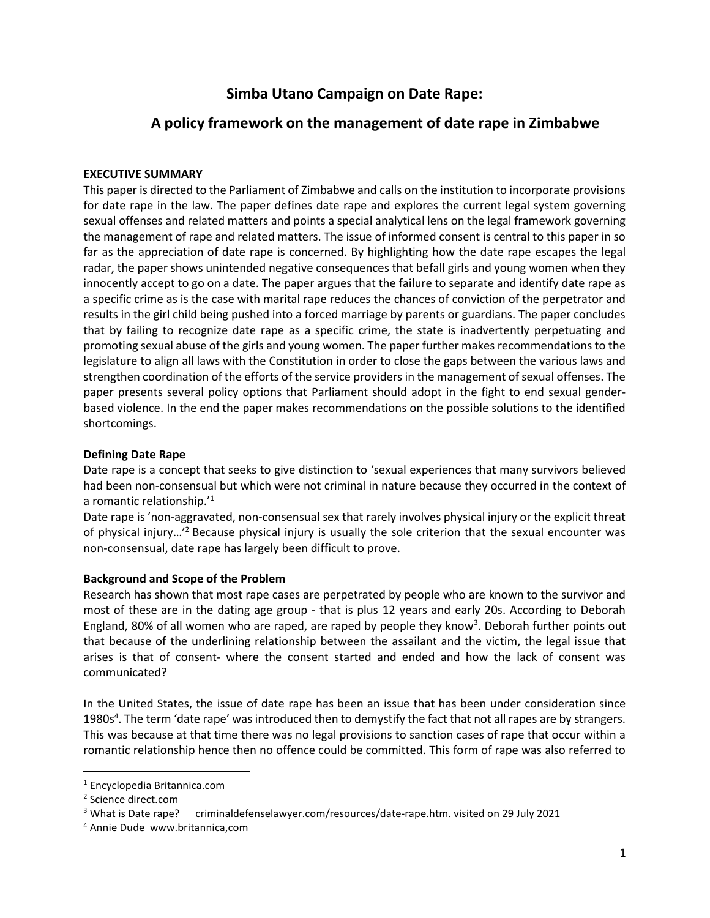# Simba Utano Campaign on Date Rape:

# A policy framework on the management of date rape in Zimbabwe

### EXECUTIVE SUMMARY

This paper is directed to the Parliament of Zimbabwe and calls on the institution to incorporate provisions for date rape in the law. The paper defines date rape and explores the current legal system governing sexual offenses and related matters and points a special analytical lens on the legal framework governing the management of rape and related matters. The issue of informed consent is central to this paper in so far as the appreciation of date rape is concerned. By highlighting how the date rape escapes the legal radar, the paper shows unintended negative consequences that befall girls and young women when they innocently accept to go on a date. The paper argues that the failure to separate and identify date rape as a specific crime as is the case with marital rape reduces the chances of conviction of the perpetrator and results in the girl child being pushed into a forced marriage by parents or guardians. The paper concludes that by failing to recognize date rape as a specific crime, the state is inadvertently perpetuating and promoting sexual abuse of the girls and young women. The paper further makes recommendations to the legislature to align all laws with the Constitution in order to close the gaps between the various laws and strengthen coordination of the efforts of the service providers in the management of sexual offenses. The paper presents several policy options that Parliament should adopt in the fight to end sexual genderbased violence. In the end the paper makes recommendations on the possible solutions to the identified shortcomings.

#### Defining Date Rape

Date rape is a concept that seeks to give distinction to 'sexual experiences that many survivors believed had been non-consensual but which were not criminal in nature because they occurred in the context of a romantic relationship. $^{\prime 1}$ 

Date rape is 'non-aggravated, non-consensual sex that rarely involves physical injury or the explicit threat of physical injury...<sup>'2</sup> Because physical injury is usually the sole criterion that the sexual encounter was non-consensual, date rape has largely been difficult to prove.

#### Background and Scope of the Problem

Research has shown that most rape cases are perpetrated by people who are known to the survivor and most of these are in the dating age group - that is plus 12 years and early 20s. According to Deborah England, 80% of all women who are raped, are raped by people they know<sup>3</sup>. Deborah further points out that because of the underlining relationship between the assailant and the victim, the legal issue that arises is that of consent- where the consent started and ended and how the lack of consent was communicated?

In the United States, the issue of date rape has been an issue that has been under consideration since 1980s<sup>4</sup>. The term 'date rape' was introduced then to demystify the fact that not all rapes are by strangers. This was because at that time there was no legal provisions to sanction cases of rape that occur within a romantic relationship hence then no offence could be committed. This form of rape was also referred to

<sup>1</sup> Encyclopedia Britannica.com

<sup>2</sup> Science direct.com

<sup>&</sup>lt;sup>3</sup> What is Date rape? criminaldefenselawyer.com/resources/date-rape.htm. visited on 29 July 2021

<sup>4</sup> Annie Dude www.britannica,com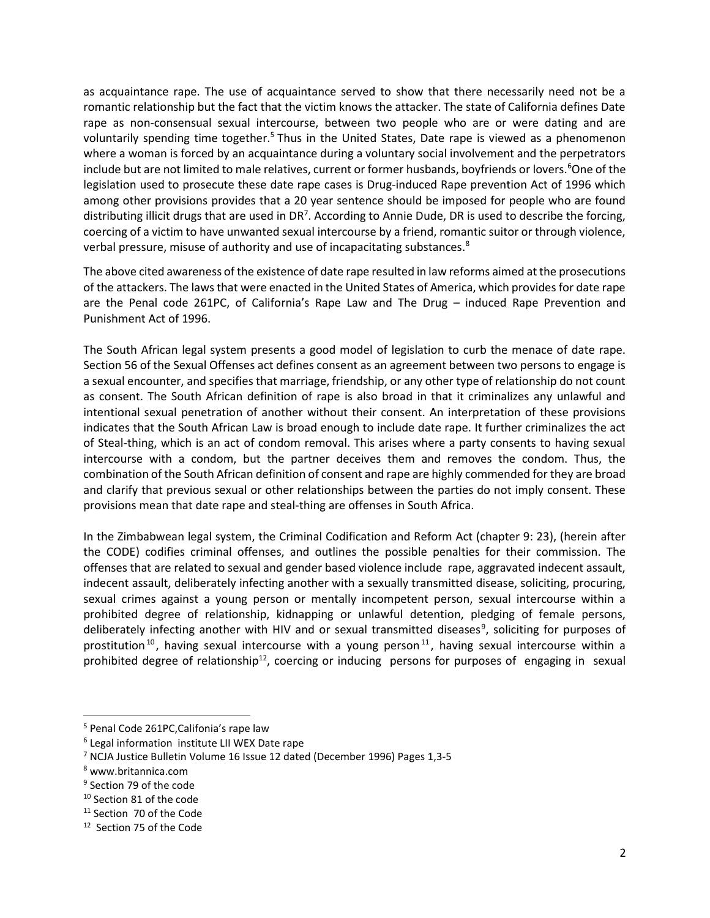as acquaintance rape. The use of acquaintance served to show that there necessarily need not be a romantic relationship but the fact that the victim knows the attacker. The state of California defines Date rape as non-consensual sexual intercourse, between two people who are or were dating and are voluntarily spending time together.<sup>5</sup> Thus in the United States, Date rape is viewed as a phenomenon where a woman is forced by an acquaintance during a voluntary social involvement and the perpetrators include but are not limited to male relatives, current or former husbands, boyfriends or lovers.<sup>6</sup>One of the legislation used to prosecute these date rape cases is Drug-induced Rape prevention Act of 1996 which among other provisions provides that a 20 year sentence should be imposed for people who are found distributing illicit drugs that are used in DR<sup>7</sup>. According to Annie Dude, DR is used to describe the forcing, coercing of a victim to have unwanted sexual intercourse by a friend, romantic suitor or through violence, verbal pressure, misuse of authority and use of incapacitating substances.<sup>8</sup>

The above cited awareness of the existence of date rape resulted in law reforms aimed at the prosecutions of the attackers. The laws that were enacted in the United States of America, which provides for date rape are the Penal code 261PC, of California's Rape Law and The Drug – induced Rape Prevention and Punishment Act of 1996.

The South African legal system presents a good model of legislation to curb the menace of date rape. Section 56 of the Sexual Offenses act defines consent as an agreement between two persons to engage is a sexual encounter, and specifies that marriage, friendship, or any other type of relationship do not count as consent. The South African definition of rape is also broad in that it criminalizes any unlawful and intentional sexual penetration of another without their consent. An interpretation of these provisions indicates that the South African Law is broad enough to include date rape. It further criminalizes the act of Steal-thing, which is an act of condom removal. This arises where a party consents to having sexual intercourse with a condom, but the partner deceives them and removes the condom. Thus, the combination of the South African definition of consent and rape are highly commended for they are broad and clarify that previous sexual or other relationships between the parties do not imply consent. These provisions mean that date rape and steal-thing are offenses in South Africa.

In the Zimbabwean legal system, the Criminal Codification and Reform Act (chapter 9: 23), (herein after the CODE) codifies criminal offenses, and outlines the possible penalties for their commission. The offenses that are related to sexual and gender based violence include rape, aggravated indecent assault, indecent assault, deliberately infecting another with a sexually transmitted disease, soliciting, procuring, sexual crimes against a young person or mentally incompetent person, sexual intercourse within a prohibited degree of relationship, kidnapping or unlawful detention, pledging of female persons, deliberately infecting another with HIV and or sexual transmitted diseases<sup>9</sup>, soliciting for purposes of prostitution<sup>10</sup>, having sexual intercourse with a young person<sup>11</sup>, having sexual intercourse within a prohibited degree of relationship<sup>12</sup>, coercing or inducing persons for purposes of engaging in sexual

<sup>&</sup>lt;sup>5</sup> Penal Code 261PC, Califonia's rape law

<sup>&</sup>lt;sup>6</sup> Legal information institute LII WEX Date rape

<sup>7</sup> NCJA Justice Bulletin Volume 16 Issue 12 dated (December 1996) Pages 1,3-5

<sup>8</sup> www.britannica.com

<sup>&</sup>lt;sup>9</sup> Section 79 of the code

<sup>&</sup>lt;sup>10</sup> Section 81 of the code

<sup>&</sup>lt;sup>11</sup> Section 70 of the Code

<sup>12</sup> Section 75 of the Code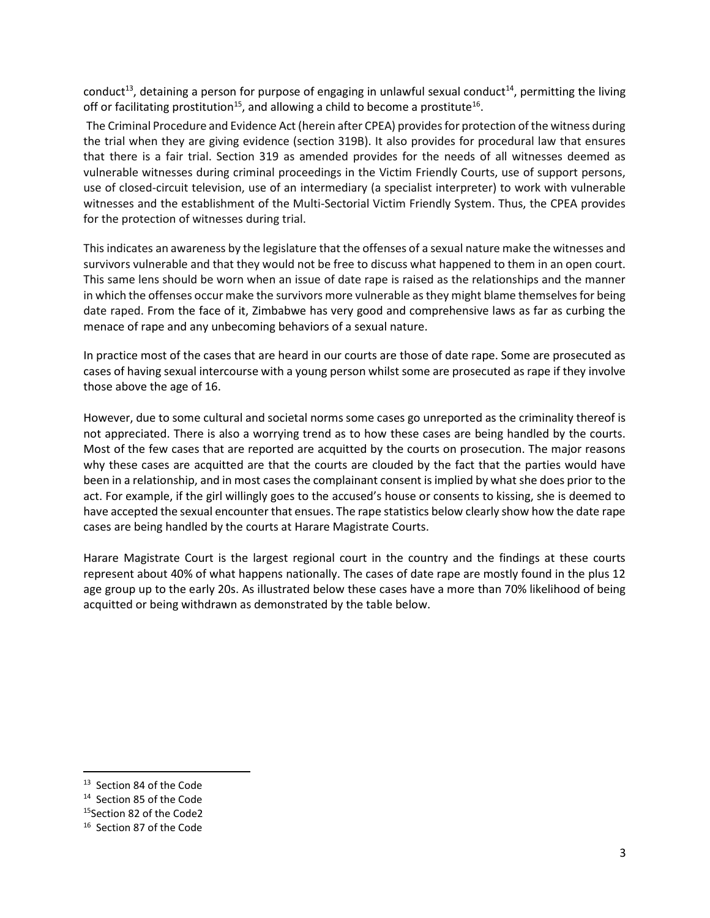conduct<sup>13</sup>, detaining a person for purpose of engaging in unlawful sexual conduct<sup>14</sup>, permitting the living off or facilitating prostitution<sup>15</sup>, and allowing a child to become a prostitute<sup>16</sup>.

 The Criminal Procedure and Evidence Act (herein after CPEA) provides for protection of the witness during the trial when they are giving evidence (section 319B). It also provides for procedural law that ensures that there is a fair trial. Section 319 as amended provides for the needs of all witnesses deemed as vulnerable witnesses during criminal proceedings in the Victim Friendly Courts, use of support persons, use of closed-circuit television, use of an intermediary (a specialist interpreter) to work with vulnerable witnesses and the establishment of the Multi-Sectorial Victim Friendly System. Thus, the CPEA provides for the protection of witnesses during trial.

This indicates an awareness by the legislature that the offenses of a sexual nature make the witnesses and survivors vulnerable and that they would not be free to discuss what happened to them in an open court. This same lens should be worn when an issue of date rape is raised as the relationships and the manner in which the offenses occur make the survivors more vulnerable as they might blame themselves for being date raped. From the face of it, Zimbabwe has very good and comprehensive laws as far as curbing the menace of rape and any unbecoming behaviors of a sexual nature.

In practice most of the cases that are heard in our courts are those of date rape. Some are prosecuted as cases of having sexual intercourse with a young person whilst some are prosecuted as rape if they involve those above the age of 16.

However, due to some cultural and societal norms some cases go unreported as the criminality thereof is not appreciated. There is also a worrying trend as to how these cases are being handled by the courts. Most of the few cases that are reported are acquitted by the courts on prosecution. The major reasons why these cases are acquitted are that the courts are clouded by the fact that the parties would have been in a relationship, and in most cases the complainant consent is implied by what she does prior to the act. For example, if the girl willingly goes to the accused's house or consents to kissing, she is deemed to have accepted the sexual encounter that ensues. The rape statistics below clearly show how the date rape cases are being handled by the courts at Harare Magistrate Courts.

Harare Magistrate Court is the largest regional court in the country and the findings at these courts represent about 40% of what happens nationally. The cases of date rape are mostly found in the plus 12 age group up to the early 20s. As illustrated below these cases have a more than 70% likelihood of being acquitted or being withdrawn as demonstrated by the table below.

<sup>&</sup>lt;sup>13</sup> Section 84 of the Code

<sup>&</sup>lt;sup>14</sup> Section 85 of the Code

<sup>&</sup>lt;sup>15</sup>Section 82 of the Code2

<sup>&</sup>lt;sup>16</sup> Section 87 of the Code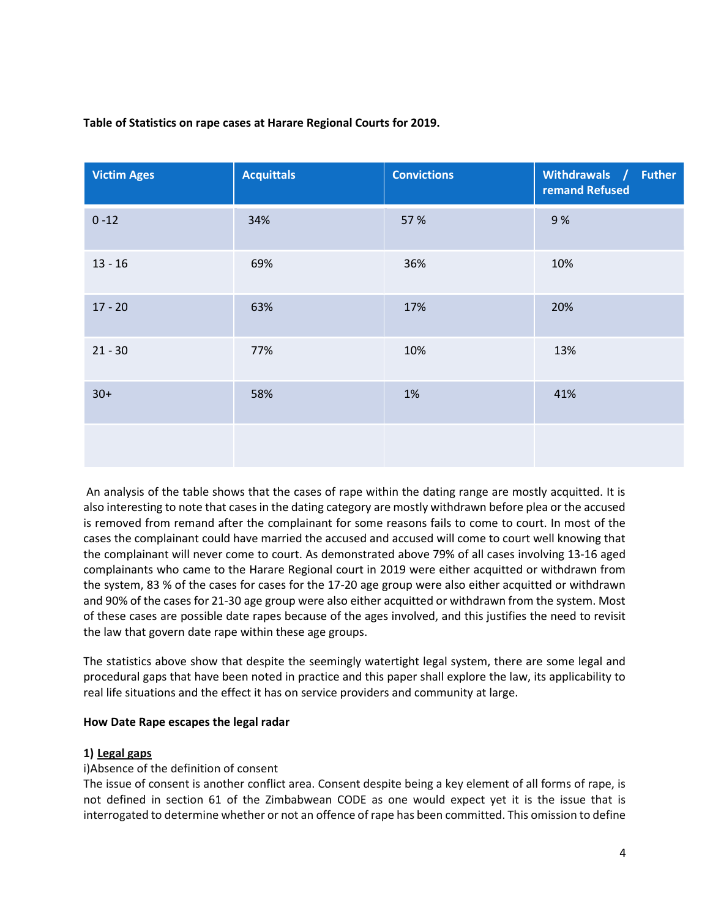| <b>Victim Ages</b> | <b>Acquittals</b> | <b>Convictions</b> | Withdrawals / Futher<br>remand Refused |
|--------------------|-------------------|--------------------|----------------------------------------|
| $0 - 12$           | 34%               | 57 %               | 9%                                     |
| $13 - 16$          | 69%               | 36%                | 10%                                    |
| $17 - 20$          | 63%               | 17%                | 20%                                    |
| $21 - 30$          | 77%               | 10%                | 13%                                    |
| $30+$              | 58%               | 1%                 | 41%                                    |
|                    |                   |                    |                                        |

### Table of Statistics on rape cases at Harare Regional Courts for 2019.

 An analysis of the table shows that the cases of rape within the dating range are mostly acquitted. It is also interesting to note that cases in the dating category are mostly withdrawn before plea or the accused is removed from remand after the complainant for some reasons fails to come to court. In most of the cases the complainant could have married the accused and accused will come to court well knowing that the complainant will never come to court. As demonstrated above 79% of all cases involving 13-16 aged complainants who came to the Harare Regional court in 2019 were either acquitted or withdrawn from the system, 83 % of the cases for cases for the 17-20 age group were also either acquitted or withdrawn and 90% of the cases for 21-30 age group were also either acquitted or withdrawn from the system. Most of these cases are possible date rapes because of the ages involved, and this justifies the need to revisit the law that govern date rape within these age groups.

The statistics above show that despite the seemingly watertight legal system, there are some legal and procedural gaps that have been noted in practice and this paper shall explore the law, its applicability to real life situations and the effect it has on service providers and community at large.

#### How Date Rape escapes the legal radar

#### 1) Legal gaps

#### i)Absence of the definition of consent

The issue of consent is another conflict area. Consent despite being a key element of all forms of rape, is not defined in section 61 of the Zimbabwean CODE as one would expect yet it is the issue that is interrogated to determine whether or not an offence of rape has been committed. This omission to define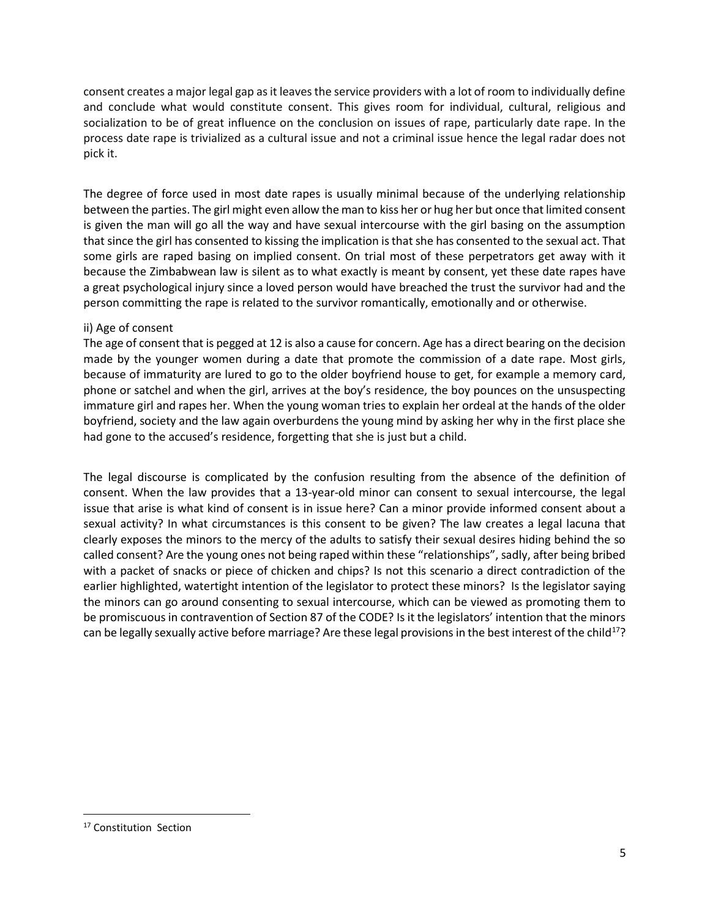consent creates a major legal gap as it leaves the service providers with a lot of room to individually define and conclude what would constitute consent. This gives room for individual, cultural, religious and socialization to be of great influence on the conclusion on issues of rape, particularly date rape. In the process date rape is trivialized as a cultural issue and not a criminal issue hence the legal radar does not pick it.

The degree of force used in most date rapes is usually minimal because of the underlying relationship between the parties. The girl might even allow the man to kiss her or hug her but once that limited consent is given the man will go all the way and have sexual intercourse with the girl basing on the assumption that since the girl has consented to kissing the implication is that she has consented to the sexual act. That some girls are raped basing on implied consent. On trial most of these perpetrators get away with it because the Zimbabwean law is silent as to what exactly is meant by consent, yet these date rapes have a great psychological injury since a loved person would have breached the trust the survivor had and the person committing the rape is related to the survivor romantically, emotionally and or otherwise.

#### ii) Age of consent

The age of consent that is pegged at 12 is also a cause for concern. Age has a direct bearing on the decision made by the younger women during a date that promote the commission of a date rape. Most girls, because of immaturity are lured to go to the older boyfriend house to get, for example a memory card, phone or satchel and when the girl, arrives at the boy's residence, the boy pounces on the unsuspecting immature girl and rapes her. When the young woman tries to explain her ordeal at the hands of the older boyfriend, society and the law again overburdens the young mind by asking her why in the first place she had gone to the accused's residence, forgetting that she is just but a child.

The legal discourse is complicated by the confusion resulting from the absence of the definition of consent. When the law provides that a 13-year-old minor can consent to sexual intercourse, the legal issue that arise is what kind of consent is in issue here? Can a minor provide informed consent about a sexual activity? In what circumstances is this consent to be given? The law creates a legal lacuna that clearly exposes the minors to the mercy of the adults to satisfy their sexual desires hiding behind the so called consent? Are the young ones not being raped within these "relationships", sadly, after being bribed with a packet of snacks or piece of chicken and chips? Is not this scenario a direct contradiction of the earlier highlighted, watertight intention of the legislator to protect these minors? Is the legislator saying the minors can go around consenting to sexual intercourse, which can be viewed as promoting them to be promiscuous in contravention of Section 87 of the CODE? Is it the legislators' intention that the minors can be legally sexually active before marriage? Are these legal provisions in the best interest of the child<sup>17</sup>?

<sup>&</sup>lt;sup>17</sup> Constitution Section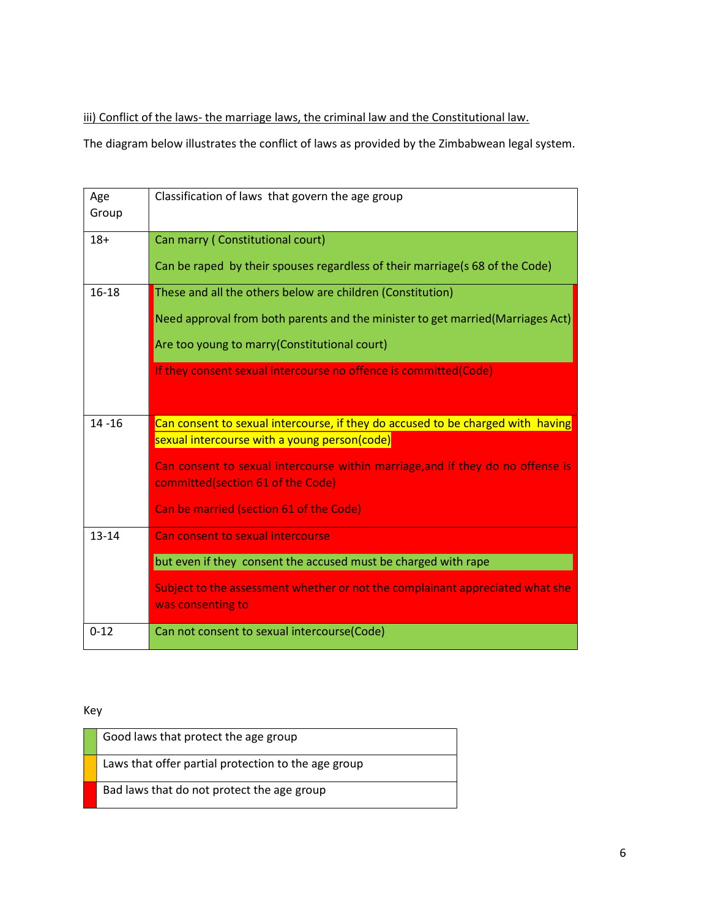iii) Conflict of the laws- the marriage laws, the criminal law and the Constitutional law.

The diagram below illustrates the conflict of laws as provided by the Zimbabwean legal system.

| Age<br>Group | Classification of laws that govern the age group                                                                                |
|--------------|---------------------------------------------------------------------------------------------------------------------------------|
| $18+$        | Can marry (Constitutional court)<br>Can be raped by their spouses regardless of their marriage(s 68 of the Code)                |
|              |                                                                                                                                 |
| $16 - 18$    | These and all the others below are children (Constitution)                                                                      |
|              | Need approval from both parents and the minister to get married(Marriages Act)                                                  |
|              | Are too young to marry (Constitutional court)                                                                                   |
|              | If they consent sexual intercourse no offence is committed(Code)                                                                |
| $14 - 16$    | Can consent to sexual intercourse, if they do accused to be charged with having<br>sexual intercourse with a young person(code) |
|              | Can consent to sexual intercourse within marriage, and if they do no offense is<br>committed(section 61 of the Code)            |
|              | Can be married (section 61 of the Code)                                                                                         |
| $13 - 14$    | Can consent to sexual intercourse                                                                                               |
|              | but even if they consent the accused must be charged with rape                                                                  |
|              | Subject to the assessment whether or not the complainant appreciated what she<br>was consenting to                              |
| $0 - 12$     | Can not consent to sexual intercourse(Code)                                                                                     |

Key

| Good laws that protect the age group                |
|-----------------------------------------------------|
| Laws that offer partial protection to the age group |
| Bad laws that do not protect the age group          |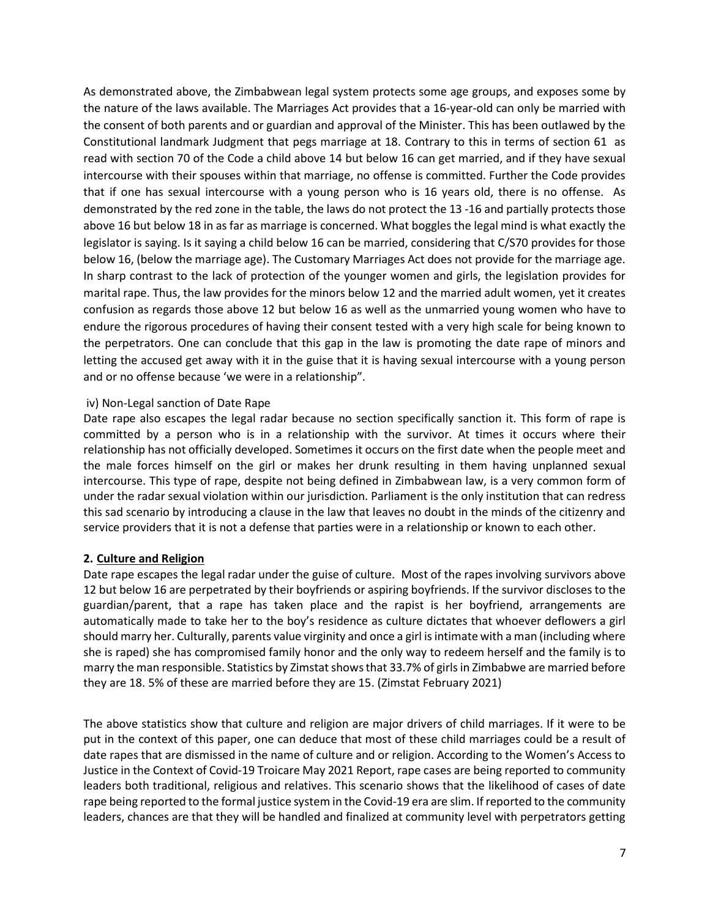As demonstrated above, the Zimbabwean legal system protects some age groups, and exposes some by the nature of the laws available. The Marriages Act provides that a 16-year-old can only be married with the consent of both parents and or guardian and approval of the Minister. This has been outlawed by the Constitutional landmark Judgment that pegs marriage at 18. Contrary to this in terms of section 61 as read with section 70 of the Code a child above 14 but below 16 can get married, and if they have sexual intercourse with their spouses within that marriage, no offense is committed. Further the Code provides that if one has sexual intercourse with a young person who is 16 years old, there is no offense. As demonstrated by the red zone in the table, the laws do not protect the 13 -16 and partially protects those above 16 but below 18 in as far as marriage is concerned. What boggles the legal mind is what exactly the legislator is saying. Is it saying a child below 16 can be married, considering that C/S70 provides for those below 16, (below the marriage age). The Customary Marriages Act does not provide for the marriage age. In sharp contrast to the lack of protection of the younger women and girls, the legislation provides for marital rape. Thus, the law provides for the minors below 12 and the married adult women, yet it creates confusion as regards those above 12 but below 16 as well as the unmarried young women who have to endure the rigorous procedures of having their consent tested with a very high scale for being known to the perpetrators. One can conclude that this gap in the law is promoting the date rape of minors and letting the accused get away with it in the guise that it is having sexual intercourse with a young person and or no offense because 'we were in a relationship".

#### iv) Non-Legal sanction of Date Rape

Date rape also escapes the legal radar because no section specifically sanction it. This form of rape is committed by a person who is in a relationship with the survivor. At times it occurs where their relationship has not officially developed. Sometimes it occurs on the first date when the people meet and the male forces himself on the girl or makes her drunk resulting in them having unplanned sexual intercourse. This type of rape, despite not being defined in Zimbabwean law, is a very common form of under the radar sexual violation within our jurisdiction. Parliament is the only institution that can redress this sad scenario by introducing a clause in the law that leaves no doubt in the minds of the citizenry and service providers that it is not a defense that parties were in a relationship or known to each other.

#### 2. Culture and Religion

Date rape escapes the legal radar under the guise of culture. Most of the rapes involving survivors above 12 but below 16 are perpetrated by their boyfriends or aspiring boyfriends. If the survivor discloses to the guardian/parent, that a rape has taken place and the rapist is her boyfriend, arrangements are automatically made to take her to the boy's residence as culture dictates that whoever deflowers a girl should marry her. Culturally, parents value virginity and once a girl is intimate with a man (including where she is raped) she has compromised family honor and the only way to redeem herself and the family is to marry the man responsible. Statistics by Zimstat shows that 33.7% of girls in Zimbabwe are married before they are 18. 5% of these are married before they are 15. (Zimstat February 2021)

The above statistics show that culture and religion are major drivers of child marriages. If it were to be put in the context of this paper, one can deduce that most of these child marriages could be a result of date rapes that are dismissed in the name of culture and or religion. According to the Women's Access to Justice in the Context of Covid-19 Troicare May 2021 Report, rape cases are being reported to community leaders both traditional, religious and relatives. This scenario shows that the likelihood of cases of date rape being reported to the formal justice system in the Covid-19 era are slim. If reported to the community leaders, chances are that they will be handled and finalized at community level with perpetrators getting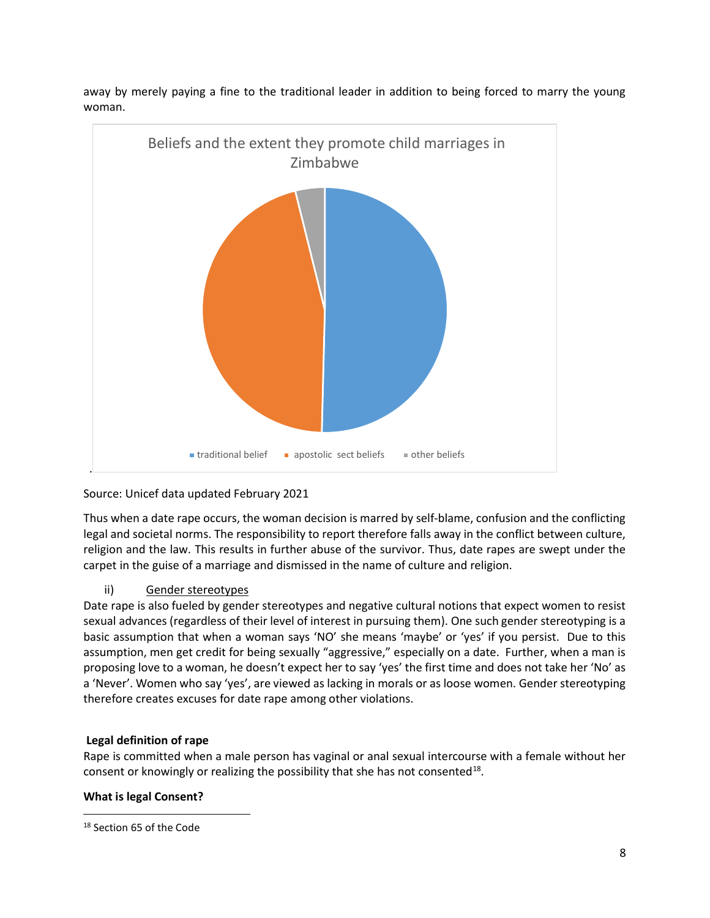



# Source: Unicef data updated February 2021

Thus when a date rape occurs, the woman decision is marred by self-blame, confusion and the conflicting legal and societal norms. The responsibility to report therefore falls away in the conflict between culture, religion and the law. This results in further abuse of the survivor. Thus, date rapes are swept under the carpet in the guise of a marriage and dismissed in the name of culture and religion.

## ii) Gender stereotypes

Date rape is also fueled by gender stereotypes and negative cultural notions that expect women to resist sexual advances (regardless of their level of interest in pursuing them). One such gender stereotyping is a basic assumption that when a woman says 'NO' she means 'maybe' or 'yes' if you persist. Due to this assumption, men get credit for being sexually "aggressive," especially on a date. Further, when a man is proposing love to a woman, he doesn't expect her to say 'yes' the first time and does not take her 'No' as a 'Never'. Women who say 'yes', are viewed as lacking in morals or as loose women. Gender stereotyping therefore creates excuses for date rape among other violations.

#### Legal definition of rape

Rape is committed when a male person has vaginal or anal sexual intercourse with a female without her consent or knowingly or realizing the possibility that she has not consented $^{18}$ .

#### What is legal Consent?

<sup>&</sup>lt;sup>18</sup> Section 65 of the Code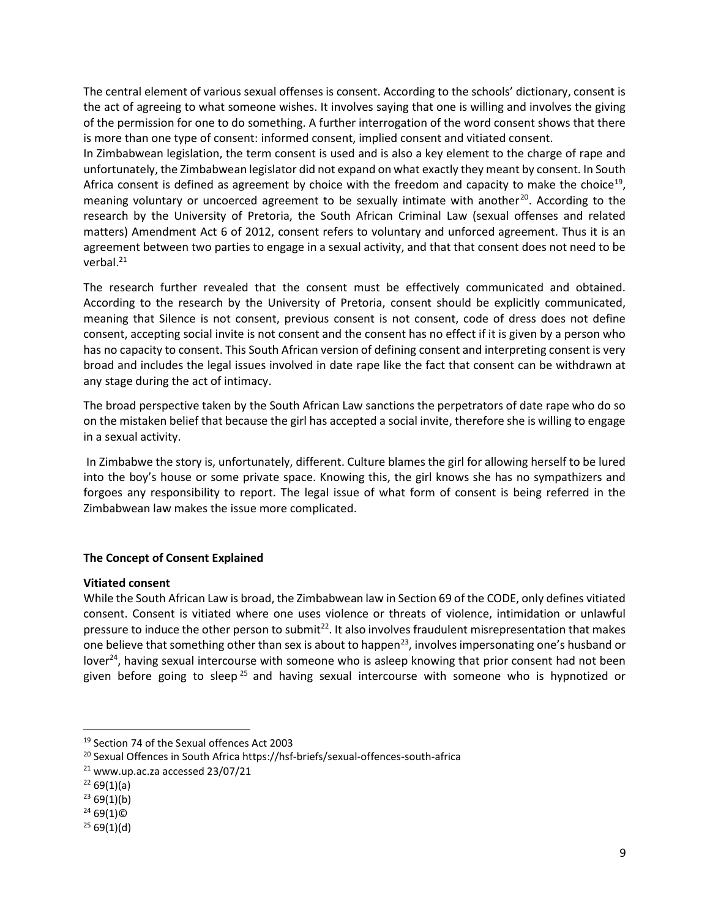The central element of various sexual offenses is consent. According to the schools' dictionary, consent is the act of agreeing to what someone wishes. It involves saying that one is willing and involves the giving of the permission for one to do something. A further interrogation of the word consent shows that there is more than one type of consent: informed consent, implied consent and vitiated consent.

In Zimbabwean legislation, the term consent is used and is also a key element to the charge of rape and unfortunately, the Zimbabwean legislator did not expand on what exactly they meant by consent. In South Africa consent is defined as agreement by choice with the freedom and capacity to make the choice<sup>19</sup>, meaning voluntary or uncoerced agreement to be sexually intimate with another<sup>20</sup>. According to the research by the University of Pretoria, the South African Criminal Law (sexual offenses and related matters) Amendment Act 6 of 2012, consent refers to voluntary and unforced agreement. Thus it is an agreement between two parties to engage in a sexual activity, and that that consent does not need to be verbal.<sup>21</sup>

The research further revealed that the consent must be effectively communicated and obtained. According to the research by the University of Pretoria, consent should be explicitly communicated, meaning that Silence is not consent, previous consent is not consent, code of dress does not define consent, accepting social invite is not consent and the consent has no effect if it is given by a person who has no capacity to consent. This South African version of defining consent and interpreting consent is very broad and includes the legal issues involved in date rape like the fact that consent can be withdrawn at any stage during the act of intimacy.

The broad perspective taken by the South African Law sanctions the perpetrators of date rape who do so on the mistaken belief that because the girl has accepted a social invite, therefore she is willing to engage in a sexual activity.

 In Zimbabwe the story is, unfortunately, different. Culture blames the girl for allowing herself to be lured into the boy's house or some private space. Knowing this, the girl knows she has no sympathizers and forgoes any responsibility to report. The legal issue of what form of consent is being referred in the Zimbabwean law makes the issue more complicated.

## The Concept of Consent Explained

#### Vitiated consent

While the South African Law is broad, the Zimbabwean law in Section 69 of the CODE, only defines vitiated consent. Consent is vitiated where one uses violence or threats of violence, intimidation or unlawful pressure to induce the other person to submit<sup>22</sup>. It also involves fraudulent misrepresentation that makes one believe that something other than sex is about to happen<sup>23</sup>, involves impersonating one's husband or lover<sup>24</sup>, having sexual intercourse with someone who is asleep knowing that prior consent had not been given before going to sleep<sup>25</sup> and having sexual intercourse with someone who is hypnotized or

<sup>19</sup> Section 74 of the Sexual offences Act 2003

<sup>20</sup> Sexual Offences in South Africa https://hsf-briefs/sexual-offences-south-africa

 $21$  www.up.ac.za accessed 23/07/21

 $2269(1)(a)$ 

 $2369(1)(b)$ 

 $2469(1)$ ©

 $2569(1)(d)$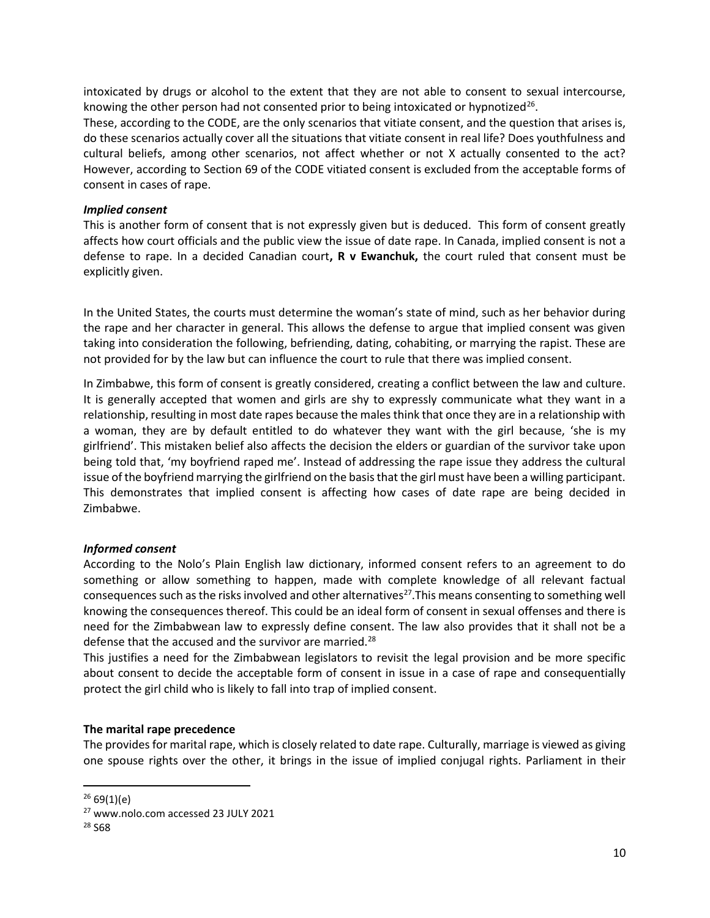intoxicated by drugs or alcohol to the extent that they are not able to consent to sexual intercourse, knowing the other person had not consented prior to being intoxicated or hypnotized<sup>26</sup>.

These, according to the CODE, are the only scenarios that vitiate consent, and the question that arises is, do these scenarios actually cover all the situations that vitiate consent in real life? Does youthfulness and cultural beliefs, among other scenarios, not affect whether or not X actually consented to the act? However, according to Section 69 of the CODE vitiated consent is excluded from the acceptable forms of consent in cases of rape.

#### Implied consent

This is another form of consent that is not expressly given but is deduced. This form of consent greatly affects how court officials and the public view the issue of date rape. In Canada, implied consent is not a defense to rape. In a decided Canadian court,  $R \text{ v}$  Ewanchuk, the court ruled that consent must be explicitly given.

In the United States, the courts must determine the woman's state of mind, such as her behavior during the rape and her character in general. This allows the defense to argue that implied consent was given taking into consideration the following, befriending, dating, cohabiting, or marrying the rapist. These are not provided for by the law but can influence the court to rule that there was implied consent.

In Zimbabwe, this form of consent is greatly considered, creating a conflict between the law and culture. It is generally accepted that women and girls are shy to expressly communicate what they want in a relationship, resulting in most date rapes because the males think that once they are in a relationship with a woman, they are by default entitled to do whatever they want with the girl because, 'she is my girlfriend'. This mistaken belief also affects the decision the elders or guardian of the survivor take upon being told that, 'my boyfriend raped me'. Instead of addressing the rape issue they address the cultural issue of the boyfriend marrying the girlfriend on the basis that the girl must have been a willing participant. This demonstrates that implied consent is affecting how cases of date rape are being decided in Zimbabwe.

#### Informed consent

According to the Nolo's Plain English law dictionary, informed consent refers to an agreement to do something or allow something to happen, made with complete knowledge of all relevant factual consequences such as the risks involved and other alternatives<sup>27</sup>. This means consenting to something well knowing the consequences thereof. This could be an ideal form of consent in sexual offenses and there is need for the Zimbabwean law to expressly define consent. The law also provides that it shall not be a defense that the accused and the survivor are married.<sup>28</sup>

This justifies a need for the Zimbabwean legislators to revisit the legal provision and be more specific about consent to decide the acceptable form of consent in issue in a case of rape and consequentially protect the girl child who is likely to fall into trap of implied consent.

#### The marital rape precedence

The provides for marital rape, which is closely related to date rape. Culturally, marriage is viewed as giving one spouse rights over the other, it brings in the issue of implied conjugal rights. Parliament in their

 $2669(1)(e)$ 

<sup>27</sup> www.nolo.com accessed 23 JULY 2021

<sup>28</sup> S68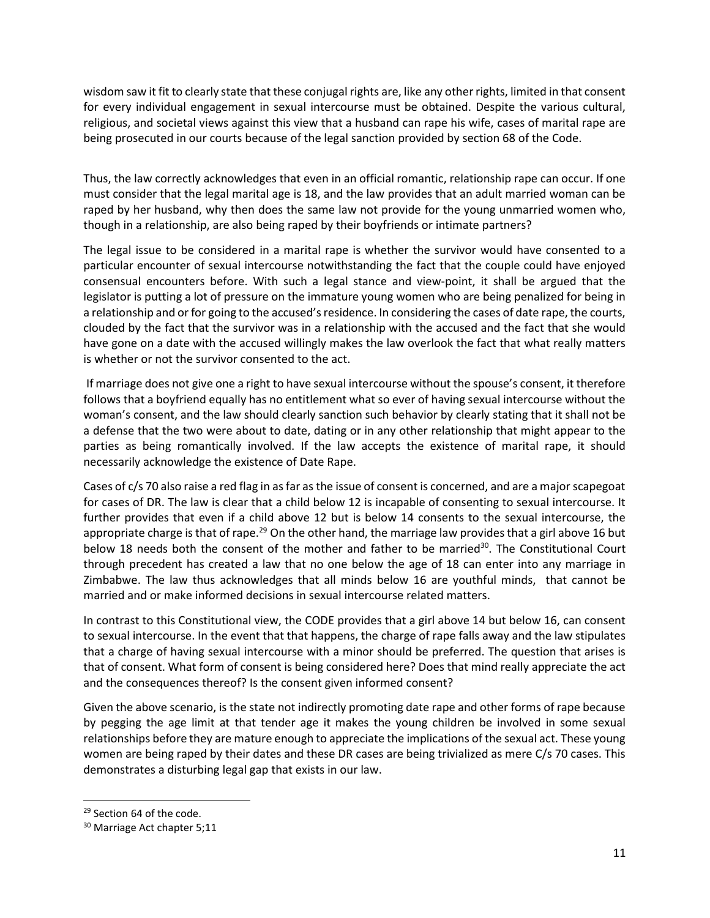wisdom saw it fit to clearly state that these conjugal rights are, like any other rights, limited in that consent for every individual engagement in sexual intercourse must be obtained. Despite the various cultural, religious, and societal views against this view that a husband can rape his wife, cases of marital rape are being prosecuted in our courts because of the legal sanction provided by section 68 of the Code.

Thus, the law correctly acknowledges that even in an official romantic, relationship rape can occur. If one must consider that the legal marital age is 18, and the law provides that an adult married woman can be raped by her husband, why then does the same law not provide for the young unmarried women who, though in a relationship, are also being raped by their boyfriends or intimate partners?

The legal issue to be considered in a marital rape is whether the survivor would have consented to a particular encounter of sexual intercourse notwithstanding the fact that the couple could have enjoyed consensual encounters before. With such a legal stance and view-point, it shall be argued that the legislator is putting a lot of pressure on the immature young women who are being penalized for being in a relationship and or for going to the accused's residence. In considering the cases of date rape, the courts, clouded by the fact that the survivor was in a relationship with the accused and the fact that she would have gone on a date with the accused willingly makes the law overlook the fact that what really matters is whether or not the survivor consented to the act.

 If marriage does not give one a right to have sexual intercourse without the spouse's consent, it therefore follows that a boyfriend equally has no entitlement what so ever of having sexual intercourse without the woman's consent, and the law should clearly sanction such behavior by clearly stating that it shall not be a defense that the two were about to date, dating or in any other relationship that might appear to the parties as being romantically involved. If the law accepts the existence of marital rape, it should necessarily acknowledge the existence of Date Rape.

Cases of c/s 70 also raise a red flag in as far as the issue of consent is concerned, and are a major scapegoat for cases of DR. The law is clear that a child below 12 is incapable of consenting to sexual intercourse. It further provides that even if a child above 12 but is below 14 consents to the sexual intercourse, the appropriate charge is that of rape.<sup>29</sup> On the other hand, the marriage law provides that a girl above 16 but below 18 needs both the consent of the mother and father to be married<sup>30</sup>. The Constitutional Court through precedent has created a law that no one below the age of 18 can enter into any marriage in Zimbabwe. The law thus acknowledges that all minds below 16 are youthful minds, that cannot be married and or make informed decisions in sexual intercourse related matters.

In contrast to this Constitutional view, the CODE provides that a girl above 14 but below 16, can consent to sexual intercourse. In the event that that happens, the charge of rape falls away and the law stipulates that a charge of having sexual intercourse with a minor should be preferred. The question that arises is that of consent. What form of consent is being considered here? Does that mind really appreciate the act and the consequences thereof? Is the consent given informed consent?

Given the above scenario, is the state not indirectly promoting date rape and other forms of rape because by pegging the age limit at that tender age it makes the young children be involved in some sexual relationships before they are mature enough to appreciate the implications of the sexual act. These young women are being raped by their dates and these DR cases are being trivialized as mere C/s 70 cases. This demonstrates a disturbing legal gap that exists in our law.

<sup>&</sup>lt;sup>29</sup> Section 64 of the code.

<sup>&</sup>lt;sup>30</sup> Marriage Act chapter 5;11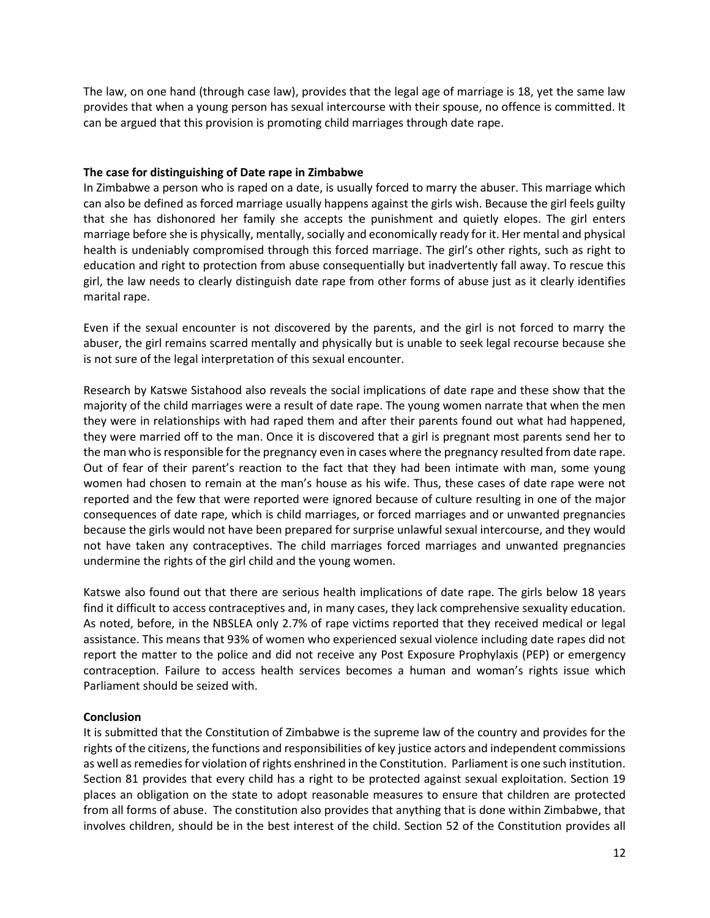The law, on one hand (through case law), provides that the legal age of marriage is 18, yet the same law provides that when a young person has sexual intercourse with their spouse, no offence is committed. It can be argued that this provision is promoting child marriages through date rape.

#### The case for distinguishing of Date rape in Zimbabwe

In Zimbabwe a person who is raped on a date, is usually forced to marry the abuser. This marriage which can also be defined as forced marriage usually happens against the girls wish. Because the girl feels guilty that she has dishonored her family she accepts the punishment and quietly elopes. The girl enters marriage before she is physically, mentally, socially and economically ready for it. Her mental and physical health is undeniably compromised through this forced marriage. The girl's other rights, such as right to education and right to protection from abuse consequentially but inadvertently fall away. To rescue this girl, the law needs to clearly distinguish date rape from other forms of abuse just as it clearly identifies marital rape.

Even if the sexual encounter is not discovered by the parents, and the girl is not forced to marry the abuser, the girl remains scarred mentally and physically but is unable to seek legal recourse because she is not sure of the legal interpretation of this sexual encounter.

Research by Katswe Sistahood also reveals the social implications of date rape and these show that the majority of the child marriages were a result of date rape. The young women narrate that when the men they were in relationships with had raped them and after their parents found out what had happened, they were married off to the man. Once it is discovered that a girl is pregnant most parents send her to the man who is responsible for the pregnancy even in cases where the pregnancy resulted from date rape. Out of fear of their parent's reaction to the fact that they had been intimate with man, some young women had chosen to remain at the man's house as his wife. Thus, these cases of date rape were not reported and the few that were reported were ignored because of culture resulting in one of the major consequences of date rape, which is child marriages, or forced marriages and or unwanted pregnancies because the girls would not have been prepared for surprise unlawful sexual intercourse, and they would not have taken any contraceptives. The child marriages forced marriages and unwanted pregnancies undermine the rights of the girl child and the young women.

Katswe also found out that there are serious health implications of date rape. The girls below 18 years find it difficult to access contraceptives and, in many cases, they lack comprehensive sexuality education. As noted, before, in the NBSLEA only 2.7% of rape victims reported that they received medical or legal assistance. This means that 93% of women who experienced sexual violence including date rapes did not report the matter to the police and did not receive any Post Exposure Prophylaxis (PEP) or emergency contraception. Failure to access health services becomes a human and woman's rights issue which Parliament should be seized with.

#### Conclusion

It is submitted that the Constitution of Zimbabwe is the supreme law of the country and provides for the rights of the citizens, the functions and responsibilities of key justice actors and independent commissions as well as remedies for violation of rights enshrined in the Constitution. Parliament is one such institution. Section 81 provides that every child has a right to be protected against sexual exploitation. Section 19 places an obligation on the state to adopt reasonable measures to ensure that children are protected from all forms of abuse. The constitution also provides that anything that is done within Zimbabwe, that involves children, should be in the best interest of the child. Section 52 of the Constitution provides all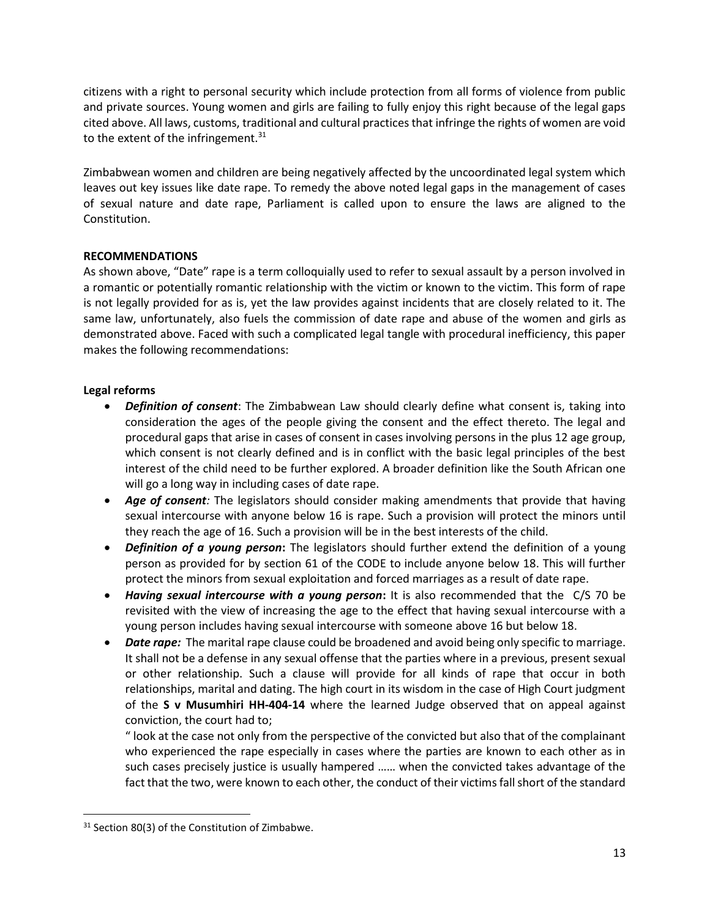citizens with a right to personal security which include protection from all forms of violence from public and private sources. Young women and girls are failing to fully enjoy this right because of the legal gaps cited above. All laws, customs, traditional and cultural practices that infringe the rights of women are void to the extent of the infringement. $31$ 

Zimbabwean women and children are being negatively affected by the uncoordinated legal system which leaves out key issues like date rape. To remedy the above noted legal gaps in the management of cases of sexual nature and date rape, Parliament is called upon to ensure the laws are aligned to the Constitution.

## RECOMMENDATIONS

As shown above, "Date" rape is a term colloquially used to refer to sexual assault by a person involved in a romantic or potentially romantic relationship with the victim or known to the victim. This form of rape is not legally provided for as is, yet the law provides against incidents that are closely related to it. The same law, unfortunately, also fuels the commission of date rape and abuse of the women and girls as demonstrated above. Faced with such a complicated legal tangle with procedural inefficiency, this paper makes the following recommendations:

## Legal reforms

- Definition of consent: The Zimbabwean Law should clearly define what consent is, taking into consideration the ages of the people giving the consent and the effect thereto. The legal and procedural gaps that arise in cases of consent in cases involving persons in the plus 12 age group, which consent is not clearly defined and is in conflict with the basic legal principles of the best interest of the child need to be further explored. A broader definition like the South African one will go a long way in including cases of date rape.
- Age of consent: The legislators should consider making amendments that provide that having sexual intercourse with anyone below 16 is rape. Such a provision will protect the minors until they reach the age of 16. Such a provision will be in the best interests of the child.
- Definition of a young person: The legislators should further extend the definition of a young person as provided for by section 61 of the CODE to include anyone below 18. This will further protect the minors from sexual exploitation and forced marriages as a result of date rape.
- Having sexual intercourse with a young person: It is also recommended that the C/S 70 be revisited with the view of increasing the age to the effect that having sexual intercourse with a young person includes having sexual intercourse with someone above 16 but below 18.
- Date rape: The marital rape clause could be broadened and avoid being only specific to marriage. It shall not be a defense in any sexual offense that the parties where in a previous, present sexual or other relationship. Such a clause will provide for all kinds of rape that occur in both relationships, marital and dating. The high court in its wisdom in the case of High Court judgment of the S v Musumhiri HH-404-14 where the learned Judge observed that on appeal against conviction, the court had to;

" look at the case not only from the perspective of the convicted but also that of the complainant who experienced the rape especially in cases where the parties are known to each other as in such cases precisely justice is usually hampered …… when the convicted takes advantage of the fact that the two, were known to each other, the conduct of their victims fall short of the standard

<sup>&</sup>lt;sup>31</sup> Section 80(3) of the Constitution of Zimbabwe.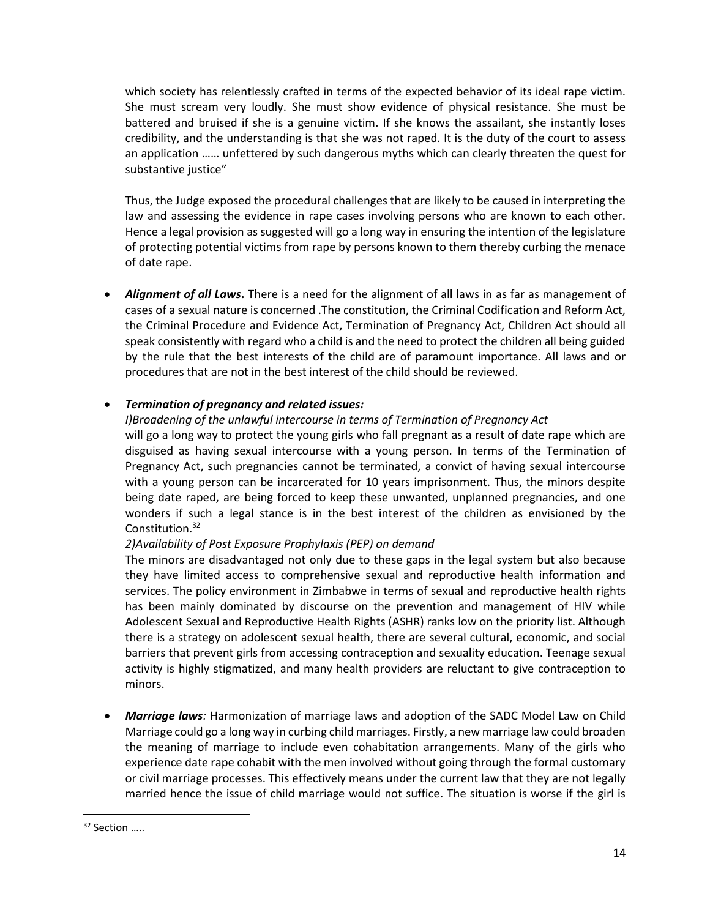which society has relentlessly crafted in terms of the expected behavior of its ideal rape victim. She must scream very loudly. She must show evidence of physical resistance. She must be battered and bruised if she is a genuine victim. If she knows the assailant, she instantly loses credibility, and the understanding is that she was not raped. It is the duty of the court to assess an application …… unfettered by such dangerous myths which can clearly threaten the quest for substantive justice"

Thus, the Judge exposed the procedural challenges that are likely to be caused in interpreting the law and assessing the evidence in rape cases involving persons who are known to each other. Hence a legal provision as suggested will go a long way in ensuring the intention of the legislature of protecting potential victims from rape by persons known to them thereby curbing the menace of date rape.

Alignment of all Laws. There is a need for the alignment of all laws in as far as management of cases of a sexual nature is concerned .The constitution, the Criminal Codification and Reform Act, the Criminal Procedure and Evidence Act, Termination of Pregnancy Act, Children Act should all speak consistently with regard who a child is and the need to protect the children all being guided by the rule that the best interests of the child are of paramount importance. All laws and or procedures that are not in the best interest of the child should be reviewed.

## Termination of pregnancy and related issues:

## I)Broadening of the unlawful intercourse in terms of Termination of Pregnancy Act will go a long way to protect the young girls who fall pregnant as a result of date rape which are disguised as having sexual intercourse with a young person. In terms of the Termination of Pregnancy Act, such pregnancies cannot be terminated, a convict of having sexual intercourse with a young person can be incarcerated for 10 years imprisonment. Thus, the minors despite being date raped, are being forced to keep these unwanted, unplanned pregnancies, and one wonders if such a legal stance is in the best interest of the children as envisioned by the Constitution.<sup>32</sup>

## 2)Availability of Post Exposure Prophylaxis (PEP) on demand

The minors are disadvantaged not only due to these gaps in the legal system but also because they have limited access to comprehensive sexual and reproductive health information and services. The policy environment in Zimbabwe in terms of sexual and reproductive health rights has been mainly dominated by discourse on the prevention and management of HIV while Adolescent Sexual and Reproductive Health Rights (ASHR) ranks low on the priority list. Although there is a strategy on adolescent sexual health, there are several cultural, economic, and social barriers that prevent girls from accessing contraception and sexuality education. Teenage sexual activity is highly stigmatized, and many health providers are reluctant to give contraception to minors.

**Marriage laws**: Harmonization of marriage laws and adoption of the SADC Model Law on Child Marriage could go a long way in curbing child marriages. Firstly, a new marriage law could broaden the meaning of marriage to include even cohabitation arrangements. Many of the girls who experience date rape cohabit with the men involved without going through the formal customary or civil marriage processes. This effectively means under the current law that they are not legally married hence the issue of child marriage would not suffice. The situation is worse if the girl is

<sup>&</sup>lt;sup>32</sup> Section .....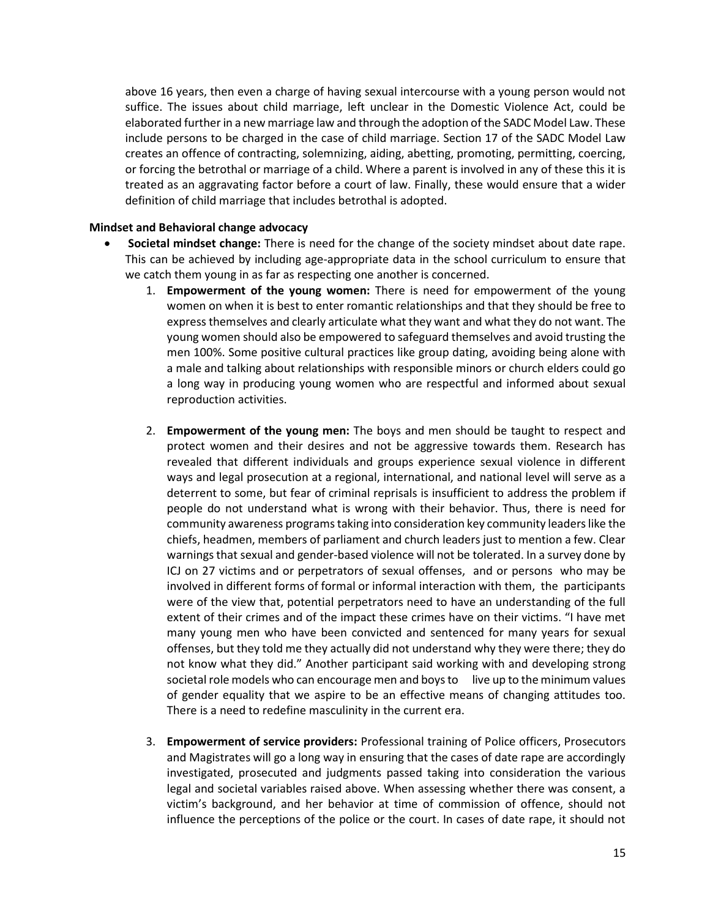above 16 years, then even a charge of having sexual intercourse with a young person would not suffice. The issues about child marriage, left unclear in the Domestic Violence Act, could be elaborated further in a new marriage law and through the adoption of the SADC Model Law. These include persons to be charged in the case of child marriage. Section 17 of the SADC Model Law creates an offence of contracting, solemnizing, aiding, abetting, promoting, permitting, coercing, or forcing the betrothal or marriage of a child. Where a parent is involved in any of these this it is treated as an aggravating factor before a court of law. Finally, these would ensure that a wider definition of child marriage that includes betrothal is adopted.

#### Mindset and Behavioral change advocacy

- Societal mindset change: There is need for the change of the society mindset about date rape. This can be achieved by including age-appropriate data in the school curriculum to ensure that we catch them young in as far as respecting one another is concerned.
	- 1. Empowerment of the young women: There is need for empowerment of the young women on when it is best to enter romantic relationships and that they should be free to express themselves and clearly articulate what they want and what they do not want. The young women should also be empowered to safeguard themselves and avoid trusting the men 100%. Some positive cultural practices like group dating, avoiding being alone with a male and talking about relationships with responsible minors or church elders could go a long way in producing young women who are respectful and informed about sexual reproduction activities.
	- 2. **Empowerment of the young men:** The boys and men should be taught to respect and protect women and their desires and not be aggressive towards them. Research has revealed that different individuals and groups experience sexual violence in different ways and legal prosecution at a regional, international, and national level will serve as a deterrent to some, but fear of criminal reprisals is insufficient to address the problem if people do not understand what is wrong with their behavior. Thus, there is need for community awareness programs taking into consideration key community leaders like the chiefs, headmen, members of parliament and church leaders just to mention a few. Clear warnings that sexual and gender-based violence will not be tolerated. In a survey done by ICJ on 27 victims and or perpetrators of sexual offenses, and or persons who may be involved in different forms of formal or informal interaction with them, the participants were of the view that, potential perpetrators need to have an understanding of the full extent of their crimes and of the impact these crimes have on their victims. "I have met many young men who have been convicted and sentenced for many years for sexual offenses, but they told me they actually did not understand why they were there; they do not know what they did." Another participant said working with and developing strong societal role models who can encourage men and boys to live up to the minimum values of gender equality that we aspire to be an effective means of changing attitudes too. There is a need to redefine masculinity in the current era.
	- 3. Empowerment of service providers: Professional training of Police officers, Prosecutors and Magistrates will go a long way in ensuring that the cases of date rape are accordingly investigated, prosecuted and judgments passed taking into consideration the various legal and societal variables raised above. When assessing whether there was consent, a victim's background, and her behavior at time of commission of offence, should not influence the perceptions of the police or the court. In cases of date rape, it should not